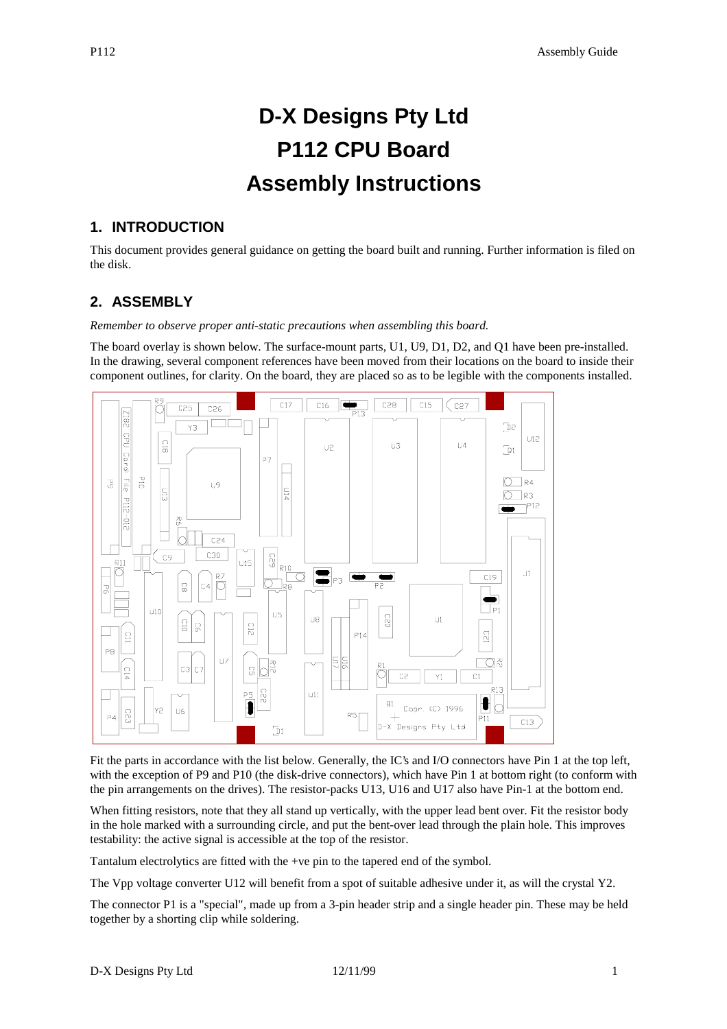# **D-X Designs Pty Ltd P112 CPU Board Assembly Instructions**

#### **1. INTRODUCTION**

This document provides general guidance on getting the board built and running. Further information is filed on the disk.

#### **2. ASSEMBLY**

*Remember to observe proper anti-static precautions when assembling this board.*

The board overlay is shown below. The surface-mount parts, U1, U9, D1, D2, and Q1 have been pre-installed. In the drawing, several component references have been moved from their locations on the board to inside their component outlines, for clarity. On the board, they are placed so as to be legible with the components installed.



Fit the parts in accordance with the list below. Generally, the IC's and I/O connectors have Pin 1 at the top left, with the exception of P9 and P10 (the disk-drive connectors), which have Pin 1 at bottom right (to conform with the pin arrangements on the drives). The resistor-packs U13, U16 and U17 also have Pin-1 at the bottom end.

When fitting resistors, note that they all stand up vertically, with the upper lead bent over. Fit the resistor body in the hole marked with a surrounding circle, and put the bent-over lead through the plain hole. This improves testability: the active signal is accessible at the top of the resistor.

Tantalum electrolytics are fitted with the +ve pin to the tapered end of the symbol.

The Vpp voltage converter U12 will benefit from a spot of suitable adhesive under it, as will the crystal Y2.

The connector P1 is a "special", made up from a 3-pin header strip and a single header pin. These may be held together by a shorting clip while soldering.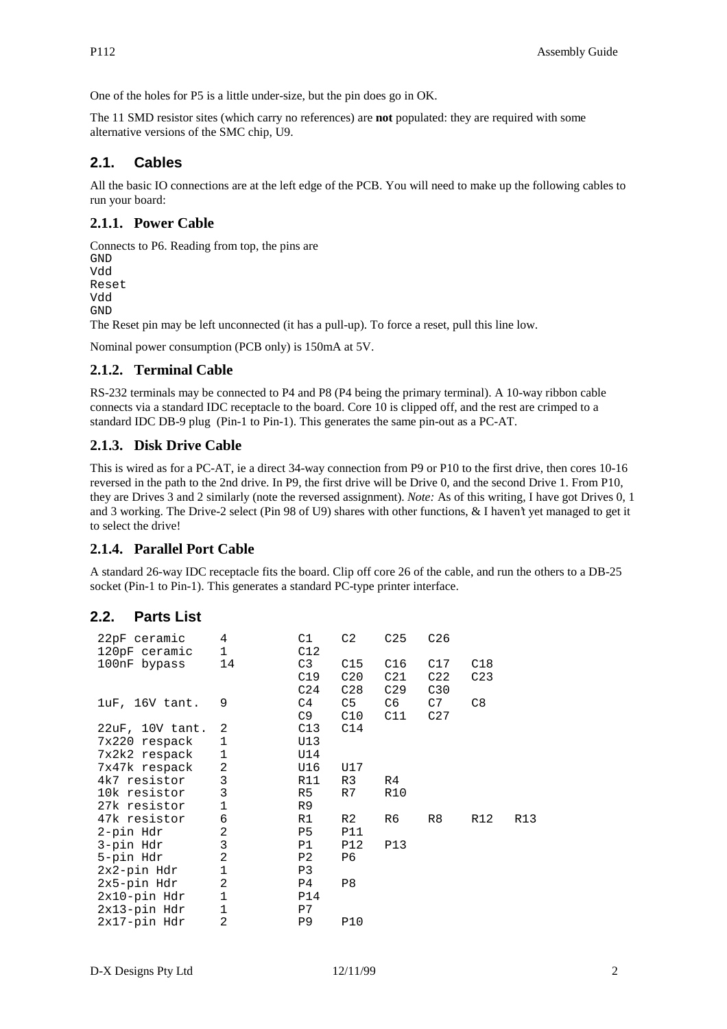One of the holes for P5 is a little under-size, but the pin does go in OK.

The 11 SMD resistor sites (which carry no references) are **not** populated: they are required with some alternative versions of the SMC chip, U9.

# **2.1. Cables**

All the basic IO connections are at the left edge of the PCB. You will need to make up the following cables to run your board:

#### **2.1.1. Power Cable**

Connects to P6. Reading from top, the pins are GND Vdd Reset Vdd GND The Reset pin may be left unconnected (it has a pull-up). To force a reset, pull this line low.

Nominal power consumption (PCB only) is 150mA at 5V.

# **2.1.2. Terminal Cable**

RS-232 terminals may be connected to P4 and P8 (P4 being the primary terminal). A 10-way ribbon cable connects via a standard IDC receptacle to the board. Core 10 is clipped off, and the rest are crimped to a standard IDC DB-9 plug (Pin-1 to Pin-1). This generates the same pin-out as a PC-AT.

#### **2.1.3. Disk Drive Cable**

This is wired as for a PC-AT, ie a direct 34-way connection from P9 or P10 to the first drive, then cores 10-16 reversed in the path to the 2nd drive. In P9, the first drive will be Drive 0, and the second Drive 1. From P10, they are Drives 3 and 2 similarly (note the reversed assignment). *Note:* As of this writing, I have got Drives 0, 1 and 3 working. The Drive-2 select (Pin 98 of U9) shares with other functions, & I haven't yet managed to get it to select the drive!

#### **2.1.4. Parallel Port Cable**

A standard 26-way IDC receptacle fits the board. Clip off core 26 of the cable, and run the others to a DB-25 socket (Pin-1 to Pin-1). This generates a standard PC-type printer interface.

#### **2.2. Parts List**

| 22pF ceramic         | 4              | C1              | C2         | C <sub>25</sub> | C <sub>26</sub> |                 |     |
|----------------------|----------------|-----------------|------------|-----------------|-----------------|-----------------|-----|
| 120pF ceramic        | $\mathbf 1$    | C12             |            |                 |                 |                 |     |
| 100nF bypass         | 14             | C3              | C15        | C16             | C17             | C18             |     |
|                      |                | C19             | C20        | C21             | C22             | C <sub>23</sub> |     |
|                      |                | C <sub>24</sub> | C28        | C <sub>29</sub> | C30             |                 |     |
| luF, 16V tant.       | 9              | C4              | C5         | C6              | C7              | C8              |     |
|                      |                | C9              | C10        | C11             | C <sub>27</sub> |                 |     |
| $22uF$ , $10V$ tant. | 2              | C13             | C14        |                 |                 |                 |     |
| 7x220 respack        | $\mathbf 1$    | U13             |            |                 |                 |                 |     |
| 7x2k2 respack        | 1              | U14             |            |                 |                 |                 |     |
| 7x47k respack        | $\mathbf{2}$   | U16             | U17        |                 |                 |                 |     |
| 4k7 resistor         | 3              | R11             | R3         | R4              |                 |                 |     |
| 10k resistor         | $\overline{3}$ | R5              | R7         | <b>R10</b>      |                 |                 |     |
| 27k resistor         | $\mathbf 1$    | R9              |            |                 |                 |                 |     |
| 47k resistor         | 6              | R1              | R2         | R6              | R8              | R12             | R13 |
| 2-pin Hdr            | 2              | P5              | <b>P11</b> |                 |                 |                 |     |
| 3-pin Hdr            | 3              | P1              | <b>P12</b> | <b>P13</b>      |                 |                 |     |
| 5-pin Hdr            | $\overline{2}$ | P <sub>2</sub>  | P6         |                 |                 |                 |     |
| $2x2$ -pin Hdr       | $\mathbf{1}$   | P3              |            |                 |                 |                 |     |
| $2x5$ -pin Hdr       | 2              | P4              | P8         |                 |                 |                 |     |
| $2x10-pin$ Hdr       | $\mathbf{1}$   | <b>P14</b>      |            |                 |                 |                 |     |
| $2x13-pin$ Hdr       | $\mathbf 1$    | P7              |            |                 |                 |                 |     |
| $2x17$ -pin Hdr      | 2              | P <sub>9</sub>  | <b>P10</b> |                 |                 |                 |     |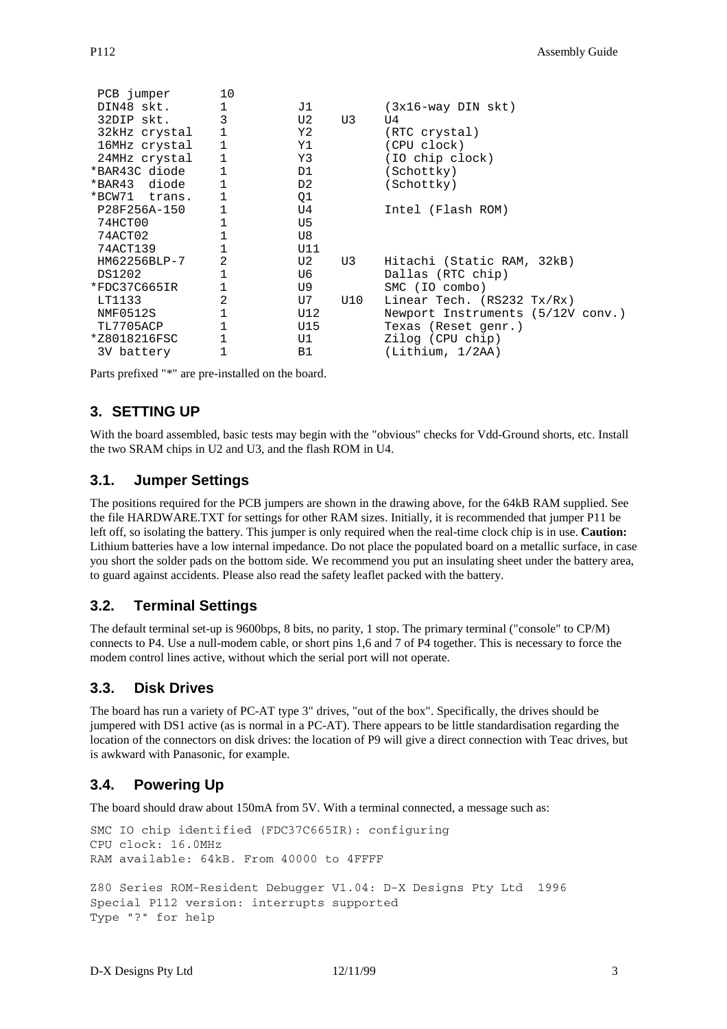| PCB jumper    | 10           |      |     |                                   |
|---------------|--------------|------|-----|-----------------------------------|
| DIN48 skt.    | $\mathbf{1}$ | J1   |     | $(3x16-way$ DIN skt)              |
| 32DIP skt.    | 3            | U2   | U3  | τJ4                               |
| 32kHz crystal | $\mathbf{1}$ | Y2 - |     | (RTC crystal)                     |
| 16MHz crystal | 1            | Y1   |     | (CPU clock)                       |
| 24MHz crystal | $\mathbf{1}$ | Y3   |     | (IO chip clock)                   |
| *BAR43C diode | $\mathbf{1}$ | D1   |     | (Schottky)                        |
| *BAR43 diode  | $\mathbf{1}$ | D2   |     | (Schottky)                        |
| *BCW71 trans. | $\mathbf{1}$ | Q1   |     |                                   |
| P28F256A-150  |              | U4   |     | Intel (Flash ROM)                 |
| 74HCT00       |              | U5   |     |                                   |
| 74ACT02       | 1            | U8   |     |                                   |
| 74ACT139      | $\mathbf{1}$ | U11  |     |                                   |
| HM62256BLP-7  | 2            | U2   | U3  | Hitachi (Static RAM, 32kB)        |
| DS1202        | 1            | U6   |     | Dallas (RTC chip)                 |
| *FDC37C665IR  | $\mathbf{1}$ | U9 - |     | SMC (IO combo)                    |
| LT1133        | 2            | U7   | U10 | Linear Tech. $(RS232 Tx/Rx)$      |
| NMF0512S      | 1            | U12  |     | Newport Instruments (5/12V conv.) |
| TL7705ACP     | 1            | U15  |     | Texas (Reset genr.)               |
| *Z8018216FSC  | $\mathbf 1$  | U1   |     | Zilog (CPU chip)                  |
| 3V battery    | $\mathbf 1$  | B1   |     | (Lithium, 1/2AA)                  |

Parts prefixed "\*" are pre-installed on the board.

# **3. SETTING UP**

With the board assembled, basic tests may begin with the "obvious" checks for Vdd-Ground shorts, etc. Install the two SRAM chips in U2 and U3, and the flash ROM in U4.

#### **3.1. Jumper Settings**

The positions required for the PCB jumpers are shown in the drawing above, for the 64kB RAM supplied. See the file HARDWARE.TXT for settings for other RAM sizes. Initially, it is recommended that jumper P11 be left off, so isolating the battery. This jumper is only required when the real-time clock chip is in use. **Caution:** Lithium batteries have a low internal impedance. Do not place the populated board on a metallic surface, in case you short the solder pads on the bottom side. We recommend you put an insulating sheet under the battery area, to guard against accidents. Please also read the safety leaflet packed with the battery.

#### **3.2. Terminal Settings**

The default terminal set-up is 9600bps, 8 bits, no parity, 1 stop. The primary terminal ("console" to CP/M) connects to P4. Use a null-modem cable, or short pins 1,6 and 7 of P4 together. This is necessary to force the modem control lines active, without which the serial port will not operate.

#### **3.3. Disk Drives**

The board has run a variety of PC-AT type 3" drives, "out of the box". Specifically, the drives should be jumpered with DS1 active (as is normal in a PC-AT). There appears to be little standardisation regarding the location of the connectors on disk drives: the location of P9 will give a direct connection with Teac drives, but is awkward with Panasonic, for example.

# **3.4. Powering Up**

The board should draw about 150mA from 5V. With a terminal connected, a message such as:

```
SMC IO chip identified (FDC37C665IR): configuring
CPU clock: 16.0MHz
RAM available: 64kB. From 40000 to 4FFFF
Z80 Series ROM-Resident Debugger V1.04: D-X Designs Pty Ltd 1996
Special P112 version: interrupts supported
Type "?" for help
```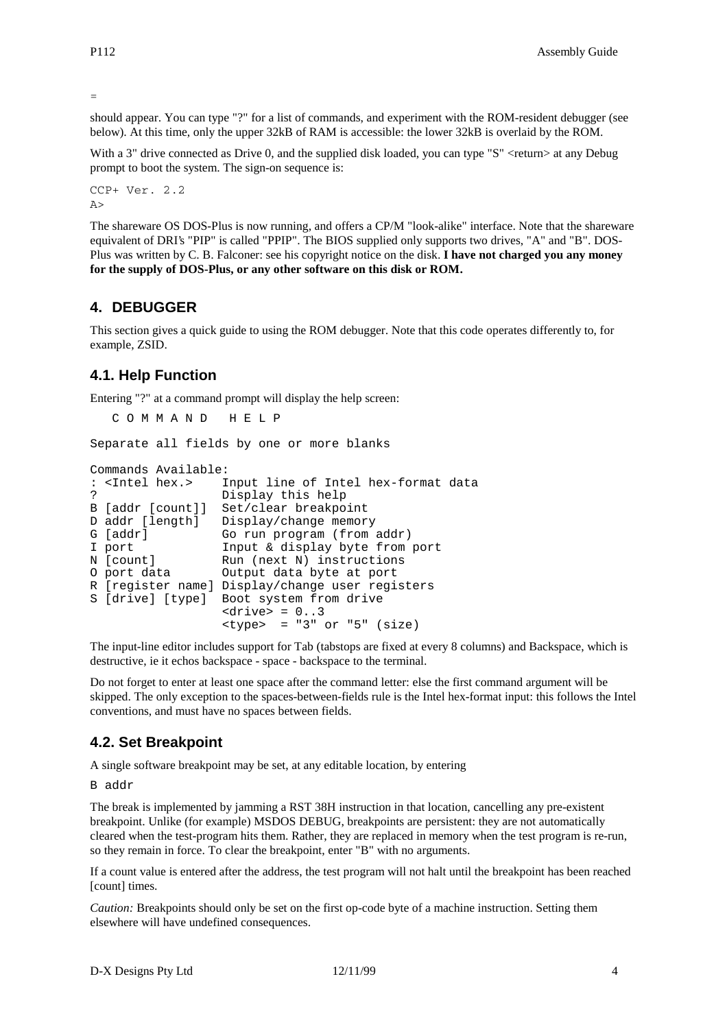=

should appear. You can type "?" for a list of commands, and experiment with the ROM-resident debugger (see below). At this time, only the upper 32kB of RAM is accessible: the lower 32kB is overlaid by the ROM.

With a 3" drive connected as Drive 0, and the supplied disk loaded, you can type "S" <return> at any Debug prompt to boot the system. The sign-on sequence is:

```
CCP+ Ver. 2.2
A >
```
The shareware OS DOS-Plus is now running, and offers a CP/M "look-alike" interface. Note that the shareware equivalent of DRI's "PIP" is called "PPIP". The BIOS supplied only supports two drives, "A" and "B". DOS-Plus was written by C. B. Falconer: see his copyright notice on the disk. **I have not charged you any money for the supply of DOS-Plus, or any other software on this disk or ROM.**

# **4. DEBUGGER**

This section gives a quick guide to using the ROM debugger. Note that this code operates differently to, for example, ZSID.

#### **4.1. Help Function**

Entering "?" at a command prompt will display the help screen:

C O M M A N D H E L P

Separate all fields by one or more blanks

```
Commands Available:
: <Intel hex.> Input line of Intel hex-format data
? Display this help<br>B [addr [count]] Set/clear breakpoint
B [addr [count]]<br>D addr [length]
                    Display/change memory
G [addr] Go run program (from addr)
I port Input & display byte from port<br>
N [count] Run (next N) instructions
                    Run (next N) instructions
O port data Output data byte at port
R [register name] Display/change user registers
S [drive] [type] Boot system from drive
                    \langledrive> = 0..3
                    style = "3" or "5" (size)
```
The input-line editor includes support for Tab (tabstops are fixed at every 8 columns) and Backspace, which is destructive, ie it echos backspace - space - backspace to the terminal.

Do not forget to enter at least one space after the command letter: else the first command argument will be skipped. The only exception to the spaces-between-fields rule is the Intel hex-format input: this follows the Intel conventions, and must have no spaces between fields.

#### **4.2. Set Breakpoint**

A single software breakpoint may be set, at any editable location, by entering

B addr

The break is implemented by jamming a RST 38H instruction in that location, cancelling any pre-existent breakpoint. Unlike (for example) MSDOS DEBUG, breakpoints are persistent: they are not automatically cleared when the test-program hits them. Rather, they are replaced in memory when the test program is re-run, so they remain in force. To clear the breakpoint, enter "B" with no arguments.

If a count value is entered after the address, the test program will not halt until the breakpoint has been reached [count] times.

*Caution:* Breakpoints should only be set on the first op-code byte of a machine instruction. Setting them elsewhere will have undefined consequences.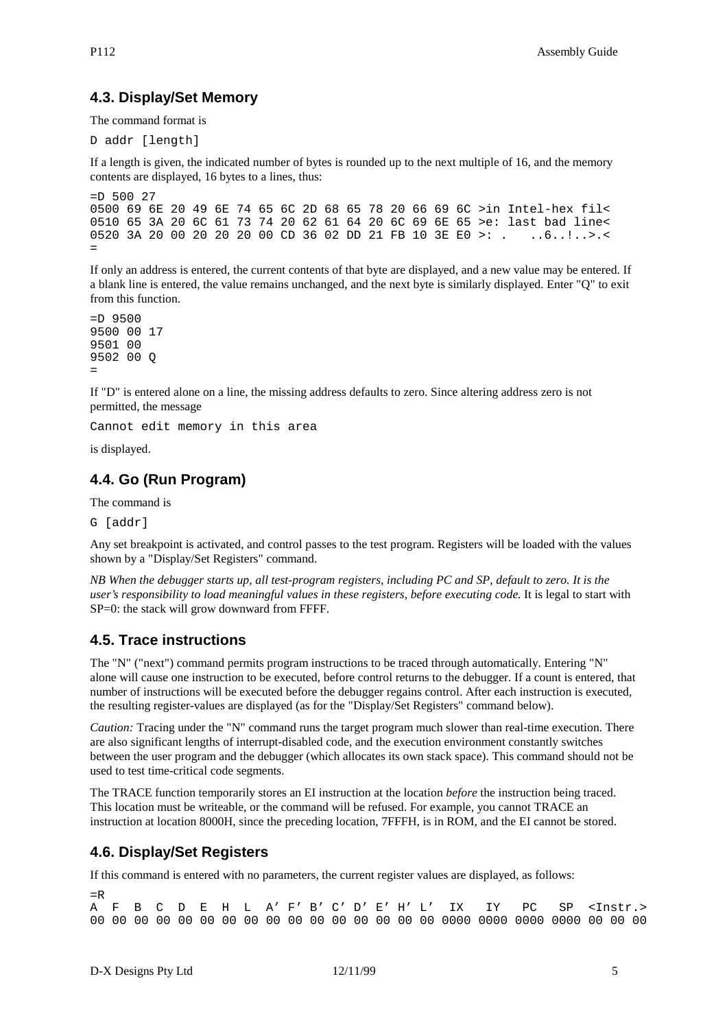#### **4.3. Display/Set Memory**

The command format is

D addr [length]

If a length is given, the indicated number of bytes is rounded up to the next multiple of 16, and the memory contents are displayed, 16 bytes to a lines, thus:

 $= D 500 27$ 0500 69 6E 20 49 6E 74 65 6C 2D 68 65 78 20 66 69 6C >in Intel-hex fil< 0510 65 3A 20 6C 61 73 74 20 62 61 64 20 6C 69 6E 65 >e: last bad line< 0520 3A 20 00 20 20 20 00 CD 36 02 DD 21 FB 10 3E E0 >: . ..6..!..>.< =

If only an address is entered, the current contents of that byte are displayed, and a new value may be entered. If a blank line is entered, the value remains unchanged, and the next byte is similarly displayed. Enter "Q" to exit from this function.

=D 9500 9500 00 17 9501 00 9502 00 Q =

If "D" is entered alone on a line, the missing address defaults to zero. Since altering address zero is not permitted, the message

Cannot edit memory in this area

is displayed.

#### **4.4. Go (Run Program)**

The command is

G [addr]

Any set breakpoint is activated, and control passes to the test program. Registers will be loaded with the values shown by a "Display/Set Registers" command.

*NB When the debugger starts up, all test-program registers, including PC and SP, default to zero. It is the user's responsibility to load meaningful values in these registers, before executing code.* It is legal to start with SP=0: the stack will grow downward from FFFF.

#### **4.5. Trace instructions**

The "N" ("next") command permits program instructions to be traced through automatically. Entering "N" alone will cause one instruction to be executed, before control returns to the debugger. If a count is entered, that number of instructions will be executed before the debugger regains control. After each instruction is executed, the resulting register-values are displayed (as for the "Display/Set Registers" command below).

*Caution:* Tracing under the "N" command runs the target program much slower than real-time execution. There are also significant lengths of interrupt-disabled code, and the execution environment constantly switches between the user program and the debugger (which allocates its own stack space). This command should not be used to test time-critical code segments.

The TRACE function temporarily stores an EI instruction at the location *before* the instruction being traced. This location must be writeable, or the command will be refused. For example, you cannot TRACE an instruction at location 8000H, since the preceding location, 7FFFH, is in ROM, and the EI cannot be stored.

#### **4.6. Display/Set Registers**

If this command is entered with no parameters, the current register values are displayed, as follows:

=R A F B C D E H L A' F' B' C' D' E' H' L' IX IY PC SP <Instr.> 00 00 00 00 00 00 00 00 00 00 00 00 00 00 00 00 0000 0000 0000 0000 00 00 00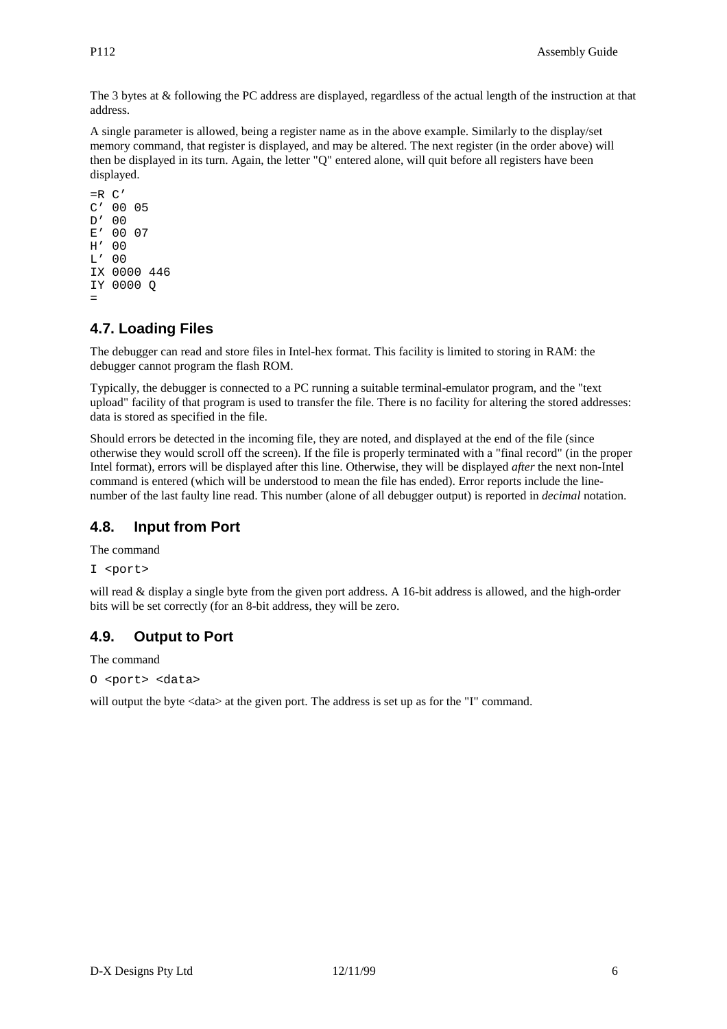The 3 bytes at & following the PC address are displayed, regardless of the actual length of the instruction at that address.

A single parameter is allowed, being a register name as in the above example. Similarly to the display/set memory command, that register is displayed, and may be altered. The next register (in the order above) will then be displayed in its turn. Again, the letter "Q" entered alone, will quit before all registers have been displayed.

```
=R C'
C' 00 05
D' 00
E' 00 07
H' 00
L' 00
IX 0000 446
IY 0000 Q
=
```
# **4.7. Loading Files**

The debugger can read and store files in Intel-hex format. This facility is limited to storing in RAM: the debugger cannot program the flash ROM.

Typically, the debugger is connected to a PC running a suitable terminal-emulator program, and the "text upload" facility of that program is used to transfer the file. There is no facility for altering the stored addresses: data is stored as specified in the file.

Should errors be detected in the incoming file, they are noted, and displayed at the end of the file (since otherwise they would scroll off the screen). If the file is properly terminated with a "final record" (in the proper Intel format), errors will be displayed after this line. Otherwise, they will be displayed *after* the next non-Intel command is entered (which will be understood to mean the file has ended). Error reports include the linenumber of the last faulty line read. This number (alone of all debugger output) is reported in *decimal* notation.

# **4.8. Input from Port**

The command

```
I <port>
```
will read & display a single byte from the given port address. A 16-bit address is allowed, and the high-order bits will be set correctly (for an 8-bit address, they will be zero.

# **4.9. Output to Port**

The command

```
O <port> <data>
```
will output the byte <data> at the given port. The address is set up as for the "I" command.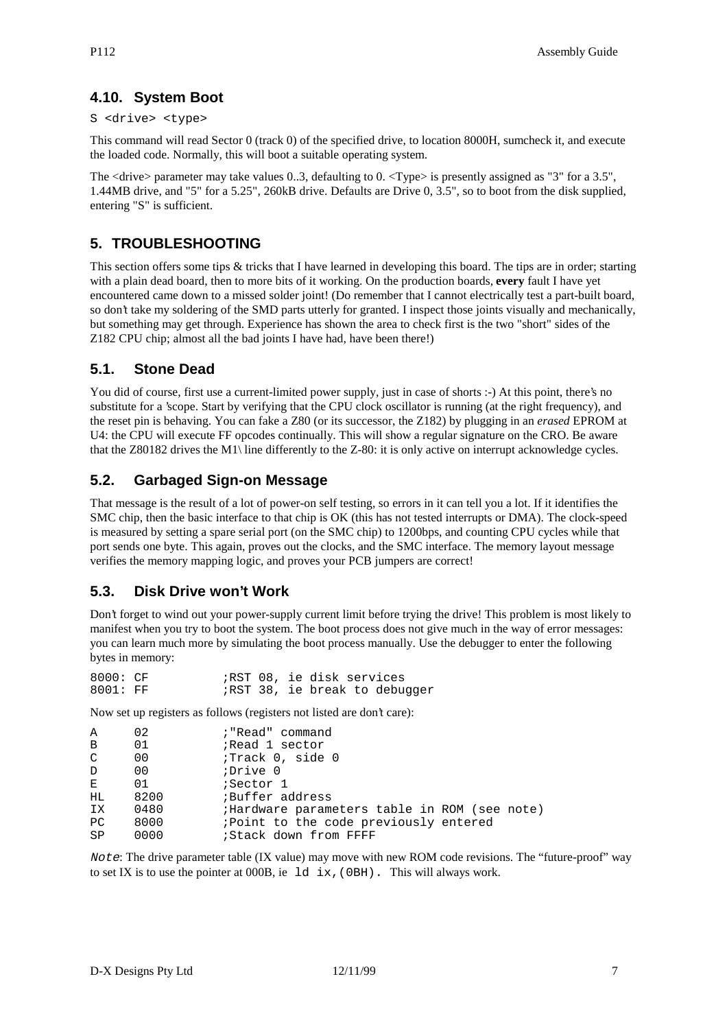# **4.10. System Boot**

#### S <drive> <type>

This command will read Sector 0 (track 0) of the specified drive, to location 8000H, sumcheck it, and execute the loaded code. Normally, this will boot a suitable operating system.

The  $\langle$ drive $\rangle$  parameter may take values 0..3, defaulting to 0.  $\langle$ Type $\rangle$  is presently assigned as "3" for a 3.5", 1.44MB drive, and "5" for a 5.25", 260kB drive. Defaults are Drive 0, 3.5", so to boot from the disk supplied, entering "S" is sufficient.

# **5. TROUBLESHOOTING**

This section offers some tips & tricks that I have learned in developing this board. The tips are in order; starting with a plain dead board, then to more bits of it working. On the production boards, **every** fault I have yet encountered came down to a missed solder joint! (Do remember that I cannot electrically test a part-built board, so don't take my soldering of the SMD parts utterly for granted. I inspect those joints visually and mechanically, but something may get through. Experience has shown the area to check first is the two "short" sides of the Z182 CPU chip; almost all the bad joints I have had, have been there!)

# **5.1. Stone Dead**

You did of course, first use a current-limited power supply, just in case of shorts :-) At this point, there's no substitute for a 'scope. Start by verifying that the CPU clock oscillator is running (at the right frequency), and the reset pin is behaving. You can fake a Z80 (or its successor, the Z182) by plugging in an *erased* EPROM at U4: the CPU will execute FF opcodes continually. This will show a regular signature on the CRO. Be aware that the Z80182 drives the M1\ line differently to the Z-80: it is only active on interrupt acknowledge cycles.

# **5.2. Garbaged Sign-on Message**

That message is the result of a lot of power-on self testing, so errors in it can tell you a lot. If it identifies the SMC chip, then the basic interface to that chip is OK (this has not tested interrupts or DMA). The clock-speed is measured by setting a spare serial port (on the SMC chip) to 1200bps, and counting CPU cycles while that port sends one byte. This again, proves out the clocks, and the SMC interface. The memory layout message verifies the memory mapping logic, and proves your PCB jumpers are correct!

# **5.3. Disk Drive won't Work**

Don't forget to wind out your power-supply current limit before trying the drive! This problem is most likely to manifest when you try to boot the system. The boot process does not give much in the way of error messages: you can learn much more by simulating the boot process manually. Use the debugger to enter the following bytes in memory:

| 8000: CF |  |  | ;RST 08, ie disk services           |
|----------|--|--|-------------------------------------|
| 8001: FF |  |  | <i>RST</i> 38, ie break to debugger |

Now set up registers as follows (registers not listed are don't care):

| Α            | 02   | ; "Read" command                             |
|--------------|------|----------------------------------------------|
| $\mathbf{B}$ | 01   | Read 1 sector                                |
| C            | 00   | :Track 0, side 0                             |
| $\mathbb{D}$ | 00   | Drive 0                                      |
| $E_{\perp}$  | 01   | ;Sector 1                                    |
| HL.          | 8200 | Buffer address                               |
| IX           | 0480 | ;Hardware parameters table in ROM (see note) |
| РC           | 8000 | ; Point to the code previously entered       |
| SP           | 0000 | ;Stack down from FFFF                        |
|              |      |                                              |

Note: The drive parameter table (IX value) may move with new ROM code revisions. The "future-proof" way to set IX is to use the pointer at  $000B$ , ie 1d ix, (0BH). This will always work.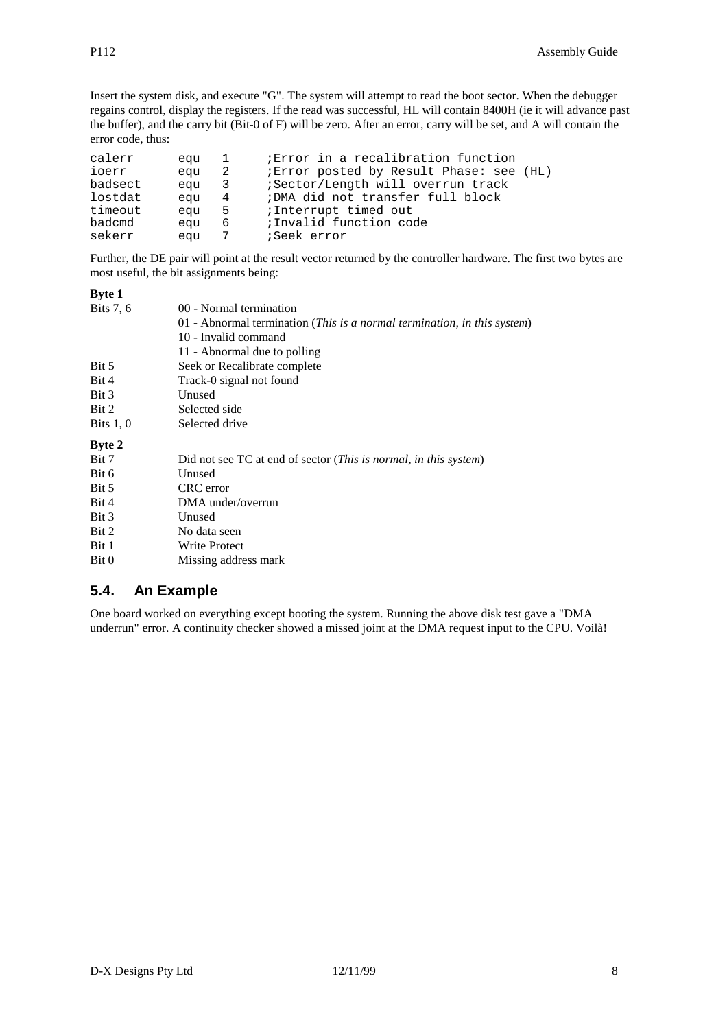Insert the system disk, and execute "G". The system will attempt to read the boot sector. When the debugger regains control, display the registers. If the read was successful, HL will contain 8400H (ie it will advance past the buffer), and the carry bit (Bit-0 of F) will be zero. After an error, carry will be set, and A will contain the error code, thus:

| calerr  | equ | $\mathbf{1}$            | Error in a recalibration function             |
|---------|-----|-------------------------|-----------------------------------------------|
| ioerr   | equ | 2                       | <i>Error</i> posted by Result Phase: see (HL) |
| badsect | equ | $\overline{\mathbf{3}}$ | ;Sector/Length will overrun track             |
| lostdat | eau | $\overline{4}$          | ; DMA did not transfer full block             |
| timeout | equ | $-5$                    | ;Interrupt timed out                          |
| badcmd  | equ | 6                       | ;Invalid function code                        |
| sekerr  | equ | $\overline{7}$          | ;Seek error                                   |

Further, the DE pair will point at the result vector returned by the controller hardware. The first two bytes are most useful, the bit assignments being:

| <b>Byte 1</b> |                                                                                   |  |  |  |  |
|---------------|-----------------------------------------------------------------------------------|--|--|--|--|
| Bits 7, 6     | 00 - Normal termination                                                           |  |  |  |  |
|               | 01 - Abnormal termination (This is a normal termination, in this system)          |  |  |  |  |
|               | 10 - Invalid command                                                              |  |  |  |  |
|               | 11 - Abnormal due to polling                                                      |  |  |  |  |
| Bit 5         | Seek or Recalibrate complete                                                      |  |  |  |  |
| Bit 4         | Track-0 signal not found                                                          |  |  |  |  |
| Bit 3         | Unused                                                                            |  |  |  |  |
| Bit 2         | Selected side                                                                     |  |  |  |  |
| Bits $1, 0$   | Selected drive                                                                    |  |  |  |  |
| <b>Byte 2</b> |                                                                                   |  |  |  |  |
| Bit 7         | Did not see TC at end of sector ( <i>This is normal</i> , <i>in this system</i> ) |  |  |  |  |
| Bit 6         | Unused                                                                            |  |  |  |  |
| Bit 5         | CRC error                                                                         |  |  |  |  |
| Bit 4         | DMA under/overrun                                                                 |  |  |  |  |
| Bit 3         | Unused                                                                            |  |  |  |  |
| Bit 2         | No data seen                                                                      |  |  |  |  |
| Bit 1         | <b>Write Protect</b>                                                              |  |  |  |  |
| Bit 0         | Missing address mark                                                              |  |  |  |  |
|               |                                                                                   |  |  |  |  |

# **5.4. An Example**

One board worked on everything except booting the system. Running the above disk test gave a "DMA underrun" error. A continuity checker showed a missed joint at the DMA request input to the CPU. Voilà!